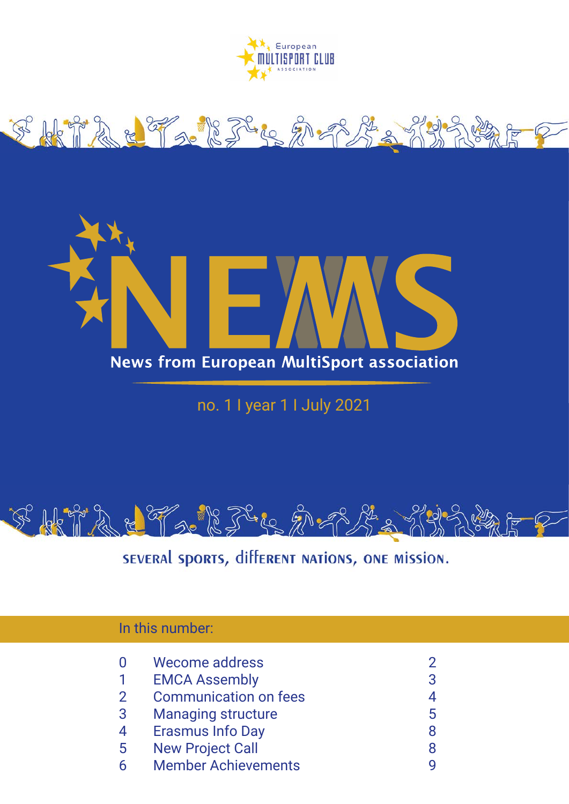





no. 1 I year 1 I July 2021



SEVERAL SPORTS, different nations, ONE MISSION.

| In this number: $\,$ |                              |   |
|----------------------|------------------------------|---|
|                      | Wecome address               |   |
|                      | <b>EMCA Assembly</b>         | 3 |
| $\overline{2}$       | <b>Communication on fees</b> |   |
| 3                    | <b>Managing structure</b>    | 5 |
| 4                    | <b>Erasmus Info Day</b>      | 8 |
| $5^{\circ}$          | <b>New Project Call</b>      | 8 |
| h                    | <b>Member Achievements</b>   |   |
|                      |                              |   |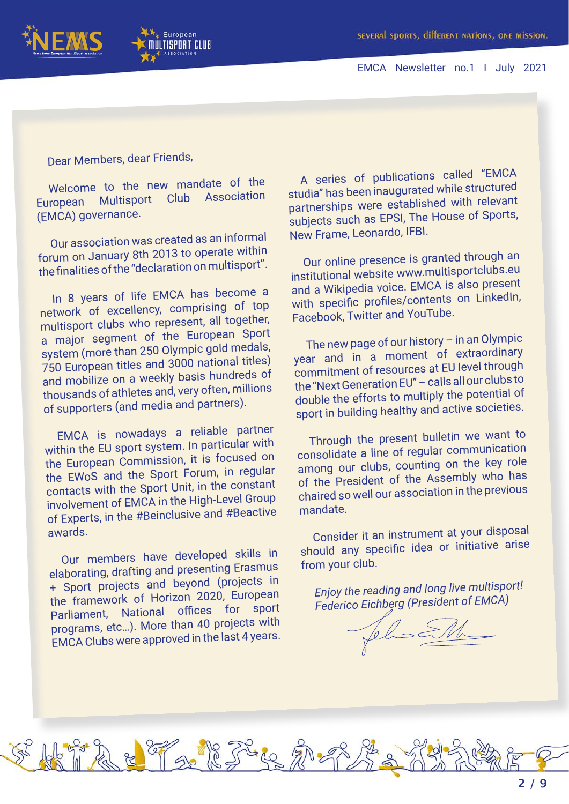



Dear Members, dear Friends,

Welcome to the new mandate of the<br>repean Multisport Club Association European Multisport (EMCA) governance.

Our association was created as an informal forum on January 8th 2013 to operate within the finalities of the "declaration on multisport".

In 8 years of life EMCA has become a network of excellency, comprising of top multisport clubs who represent, all together, a major segment of the European Sport system (more than 250 Olympic gold medals, 750 European titles and 3000 national titles) and mobilize on a weekly basis hundreds of thousands of athletes and, very often, millions of supporters (and media and partners).

EMCA is nowadays a reliable partner within the EU sport system. In particular with the European Commission, it is focused on the EWoS and the Sport Forum, in regular contacts with the Sport Unit, in the constant involvement of EMCA in the High-Level Group of Experts, in the #Beinclusive and #Beactive awards.

Our members have developed skills in elaborating, drafting and presenting Erasmus + Sport projects and beyond (projects in the framework of Horizon 2020, European Parliament, National offices for sport programs, etc…). More than 40 projects with EMCA Clubs were approved in the last 4 years.

Telestre 20-

A series of publications called "EMCA studia" has been inaugurated while structured partnerships were established with relevant subjects such as EPSI, The House of Sports, New Frame, Leonardo, IFBI.

Our online presence is granted through an institutional website www.multisportclubs.eu and a Wikipedia voice. EMCA is also present with specific profiles/contents on LinkedIn, Facebook, Twitter and YouTube.

The new page of our history – in an Olympic year and in a moment of extraordinary commitment of resources at EU level through the "Next Generation EU" – calls all our clubs to double the efforts to multiply the potential of sport in building healthy and active societies.

Through the present bulletin we want to consolidate a line of regular communication among our clubs, counting on the key role of the President of the Assembly who has chaired so well our association in the previous mandate.

Consider it an instrument at your disposa<sup>l</sup> should any specific idea or initiative arise from your club.

*Enjoy the reading and long live multisport! Federico Eichberg (President of EMCA)*

Jehn SM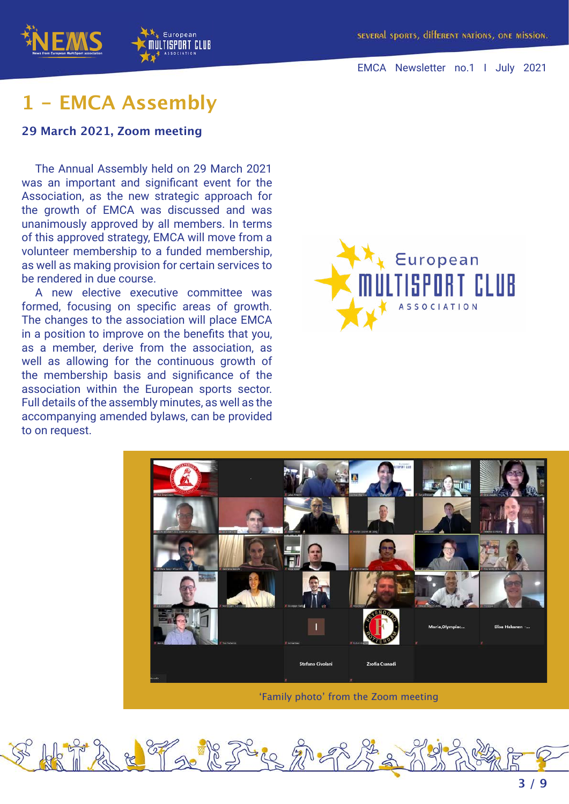



## **1 - EMCA Assembly**

#### **29 March 2021, Zoom meeting**

The Annual Assembly held on 29 March 2021 was an important and significant event for the Association, as the new strategic approach for the growth of EMCA was discussed and was unanimously approved by all members. In terms of this approved strategy, EMCA will move from a volunteer membership to a funded membership, as well as making provision for certain services to be rendered in due course.

European

A new elective executive committee was formed, focusing on specific areas of growth. The changes to the association will place EMCA in a position to improve on the benefits that you, as a member, derive from the association, as well as allowing for the continuous growth of the membership basis and significance of the association within the European sports sector. Full details of the assembly minutes, as well as the accompanying amended bylaws, can be provided to on request.





'Family photo' from the Zoom meeting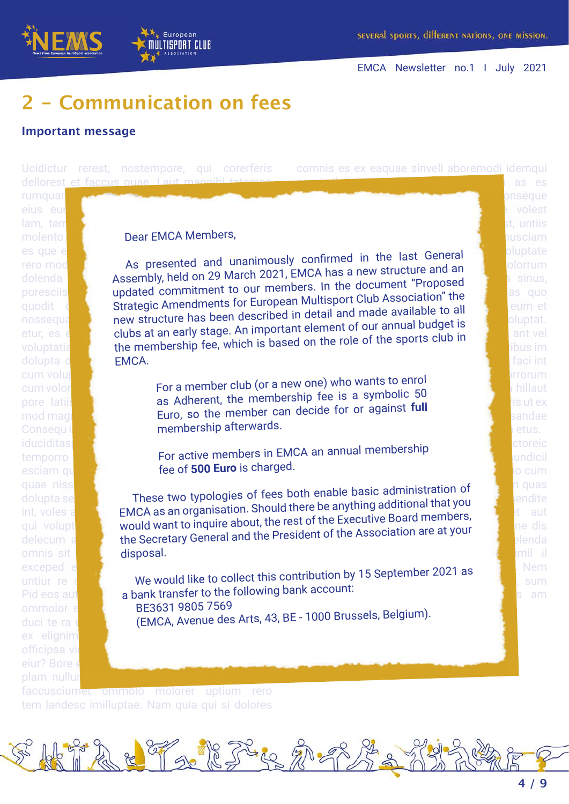



as es

volest valuest st, untiis nusciam

faci int

io cum

imil il

### European ULTISPORT CLUB

# **2 - Communication on fees**

#### **Important message**

Ucidictur rerest, nostempore, qui corerferis dellorest et faccus quae. Laut

comnis es ex eaquae sinvell aboremodi idemqui

# rumquar eius eur lam, ten es que eum nus dolecea sus aut elit que il mos dolupta d cum voluptae. Nam dolorepellum arciam, nam dolorepellum arciam, nam dolorepellum arciam, nam dolorepellum arci mod magni iduciditas eates earument, quundis doluptas earument, quundis doluptas omnis sit ex elignim officipsa vi eiur? Bore e plam nullur

molento **corumque venia correlato correlato correlato volta** Dear EMCA Members,

rero model is a variable presented and unanimous dolenda **estima estima de volupta nationalisme** and an extended and an extended and an extended and an extended and an extended and an extended and an extended and an extended and an extended and an extended and an extende poresciis **of the proposed** and **all the sequences** of the sequence of the sequence of the sequence of the sequence of the sequence of the sequence of the sequence of the sequence of the sequence of the sequence of the seq porescius **conservature dominiment to car more automore Club Association" the delight of the property of the strategic Amendments for European Multisport Club Association" the delight of the eum et** quodit de secondest interiorments for early similar and made available to all and made available to all and made available to all and made available to all and made available to all and made available to all all and made a riosseque and the moluptature ride been decented to define the sense of the sports club in etur, es et al. **clubs at all early stage:** which is based on the role of the sports club in the membership fee, which is based on the role of the sports club in the membership fee, which is based on the role of the sports in the last General polluptate As presented and unanimously confirmed in the last General and an an allowing the last of the same of the last  $\frac{1}{2}$  of  $\frac{1}{2}$ EMCA.

cum volor**uptatur re por a member club (or** a pore latif and the control of a control of the membership fee is a symbolic 50 and the membership fee is a symbolic 50 Consequi**d divu** a membership afterwards.  $\mathbb{R}^n$ inus dolorem nisi dolorem nisi dolorem nisi dolorem nisi dolorem nisi dolorem nisi dolorem nisi dolorem nisi dolorem nisi dolorem nisi dolorem nisi dolorem nisi dolorem nisi dolorem nisi dolorem nisi dolorem nis For a member club (or a new one) who wants to enrol ex enterprise the member can decide for or against **full** states and all states and all states and all states and all states and all states and all states and all states and all states and all states and all states and all volupic tem ullessit quatem fugia volorrum etus.

temporro **elle active members in** esciam que pos esentis de ra et anden ra et anden ra et anden ra et anden ra et anden ra et anden ra et anden Luptas el momberchin de la provincia de la provincia de la provincia de la provincia de la provincia de la provincia de la provincia de la provincia de la provincia de la provincia de la provincia de la provincia de la pro For active members in EMCA an annual membership

quae niss<mark>equo et aut veliqui aestima dolutem aesti aesti aesti aesti aesti aesti aesti aesti aesti aesti aesti a</mark> dolupta se**ne dem and minimize two typologies of fee** int, voles and there is the commission of the computational that you are the computation of the computation of the contribution of the contribution of the contribution of the contribution of the contribution of the contrib above the number of the Executive Board members, and the utility volupture of the Executive Board members, and the distribution praturity of the distribution are at your delecum and the Secretary General and the President of the Association are at your These two typologies of fees both enable basic administration of the product of the sendite disposal.

exceped expliquo consequence mossit, aped mossit, aped mossit, aped mossit, aped mossit, aped mossit, aped mos untiur re des and **We would like to collect this** Pid eos autem fugal are nonsequid bank transfer to the following bank account: ommolor e**n alit debit be volto de la partida** de la partida de la partida de la p duci te ra det abore ni**je nije (EMCA, Avenue des Arts, 4**3  $\therefore$  it estimates 1.5 Contember 2021 as  $\qquad$ . Nem. We would like to collect this contribution by 15 September 2021 as sum sum BE3631 9805 7569<br>(EMCA, Avenue des Arts, 43, BE - 1000 Brussels, Belgium). BE3631 9805 7569

 $E_{\infty}$ 

faccusciumet ommolo molorer uptium rero tem landesc imilluptae. Nam quia qui si dolores

The R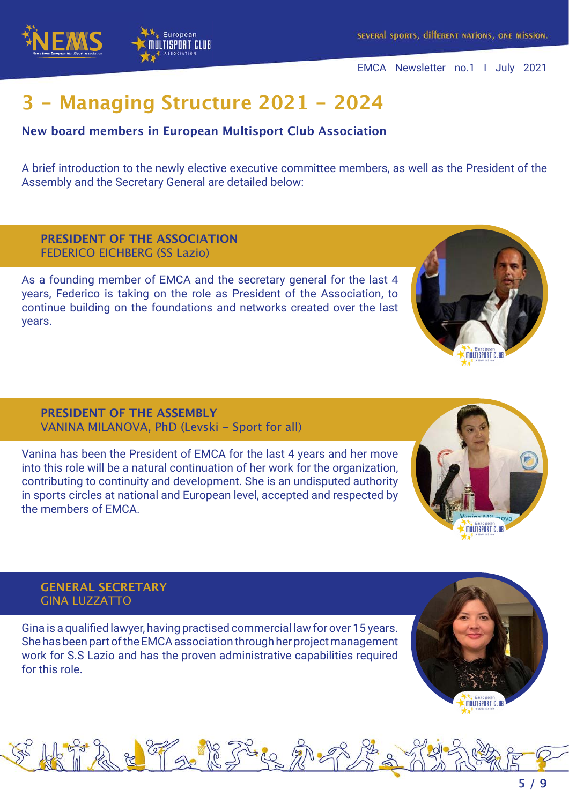



# **3 - Managing Structure 2021 - 2024**

#### **New board members in European Multisport Club Association**

A brief introduction to the newly elective executive committee members, as well as the President of the Assembly and the Secretary General are detailed below:

#### **PRESIDENT OF THE ASSOCIATION** FEDERICO EICHBERG (SS Lazio)

As a founding member of EMCA and the secretary general for the last 4 years, Federico is taking on the role as President of the Association, to continue building on the foundations and networks created over the last years.

#### **PRESIDENT OF THE ASSEMBLY** VANINA MILANOVA, PhD (Levski - Sport for all)

Vanina has been the President of EMCA for the last 4 years and her move into this role will be a natural continuation of her work for the organization, contributing to continuity and development. She is an undisputed authority in sports circles at national and European level, accepted and respected by the members of EMCA.



**MILTISPORT CLIU** 

#### **GENERAL SECRETARY** GINA LUZZATTO

Gina is a qualified lawyer, having practised commercial law for over 15 years. She has been part of the EMCA association through her project management work for S.S Lazio and has the proven administrative capabilities required for this role.

Facile

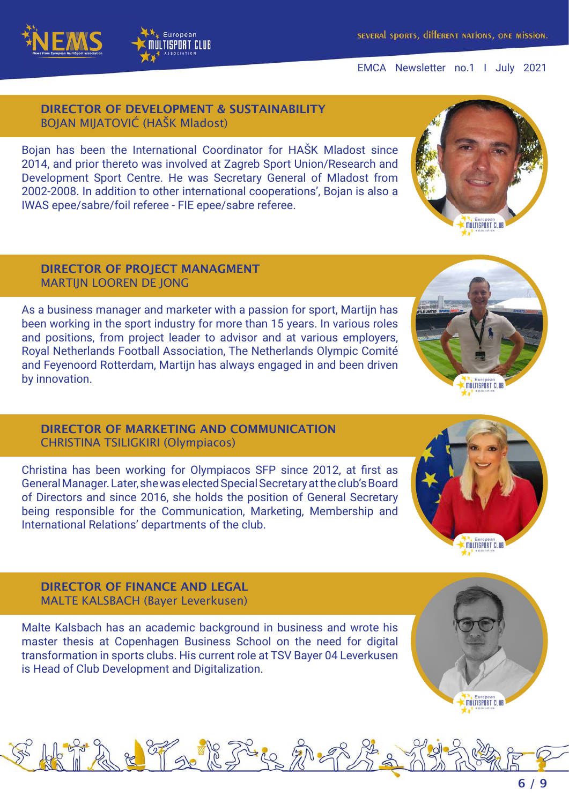#### **DIRECTOR OF DEVELOPMENT & SUSTAINABILITY** BOJAN MIJATOVIĆ (HAŠK Mladost)

European ULTISPORT CLUB

Bojan has been the International Coordinator for HAŠK Mladost since 2014, and prior thereto was involved at Zagreb Sport Union/Research and Development Sport Centre. He was Secretary General of Mladost from 2002-2008. In addition to other international cooperations', Bojan is also a IWAS epee/sabre/foil referee - FIE epee/sabre referee.

#### **DIRECTOR OF PROJECT MANAGMENT** MARTIJN LOOREN DE JONG

As a business manager and marketer with a passion for sport, Martijn has been working in the sport industry for more than 15 years. In various roles and positions, from project leader to advisor and at various employers, Royal Netherlands Football Association, The Netherlands Olympic Comité and Feyenoord Rotterdam, Martijn has always engaged in and been driven by innovation.

#### **DIRECTOR OF MARKETING AND COMMUNICATION** CHRISTINA TSILIGKIRI (Olympiacos)

Christina has been working for Olympiacos SFP since 2012, at first as General Manager. Later, she was elected Special Secretary at the club's Board of Directors and since 2016, she holds the position of General Secretary being responsible for the Communication, Marketing, Membership and International Relations' departments of the club.

#### **DIRECTOR OF FINANCE AND LEGAL** MALTE KALSBACH (Bayer Leverkusen)

Malte Kalsbach has an academic background in business and wrote his master thesis at Copenhagen Business School on the need for digital transformation in sports clubs. His current role at TSV Bayer 04 Leverkusen is Head of Club Development and Digitalization.

The R









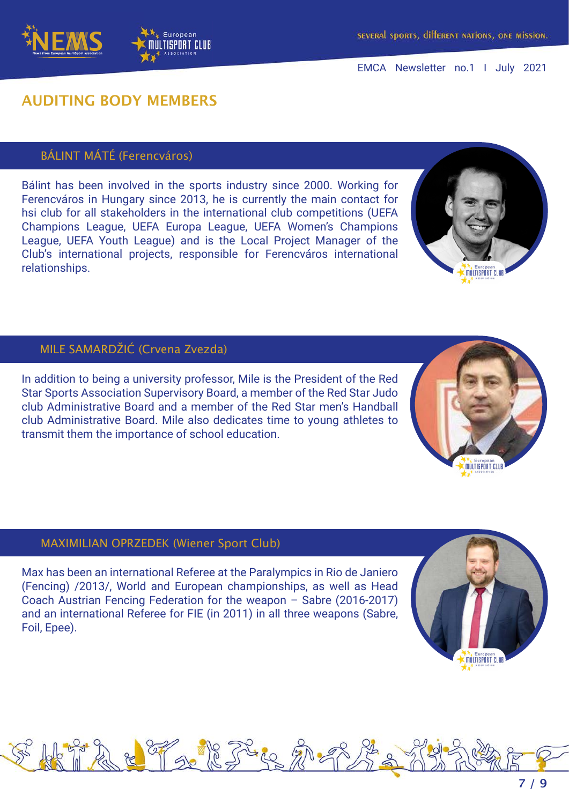### **AUDITING BODY MEMBERS**

European ULTISPORT CLUB

#### BÁLINT MÁTÉ (Ferencváros)

Bálint has been involved in the sports industry since 2000. Working for Ferencváros in Hungary since 2013, he is currently the main contact for hsi club for all stakeholders in the international club competitions (UEFA Champions League, UEFA Europa League, UEFA Women's Champions League, UEFA Youth League) and is the Local Project Manager of the Club's international projects, responsible for Ferencváros international relationships.

#### MILE SAMARDŽIĆ (Crvena Zvezda)

In addition to being a university professor, Mile is the President of the Red Star Sports Association Supervisory Board, a member of the Red Star Judo club Administrative Board and a member of the Red Star men's Handball club Administrative Board. Mile also dedicates time to young athletes to transmit them the importance of school education.

#### MAXIMILIAN OPRZEDEK (Wiener Sport Club)

Max has been an international Referee at the Paralympics in Rio de Janiero (Fencing) /2013/, World and European championships, as well as Head Coach Austrian Fencing Federation for the weapon – Sabre (2016-2017) and an international Referee for FIE (in 2011) in all three weapons (Sabre, Foil, Epee).









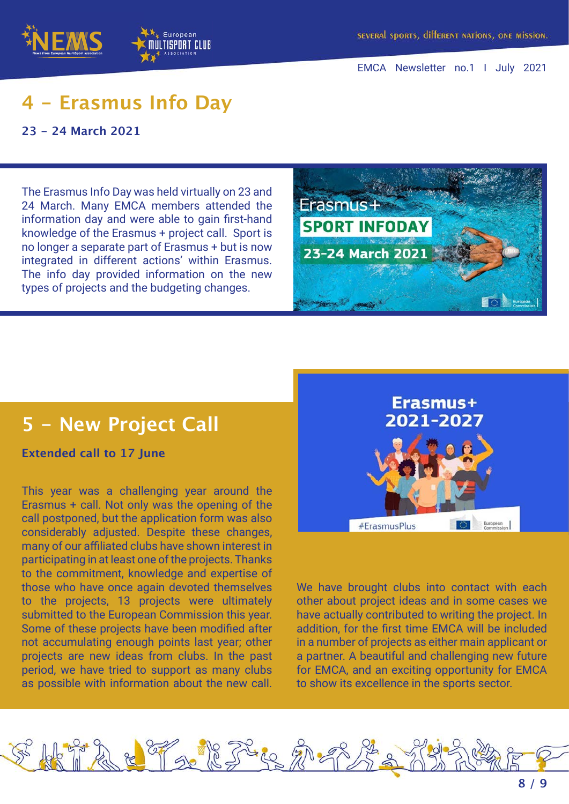

# **4 - Erasmus Info Day**

**23 - 24 March 2021**

The Erasmus Info Day was held virtually on 23 and 24 March. Many EMCA members attended the information day and were able to gain first-hand knowledge of the Erasmus + project call. Sport is no longer a separate part of Erasmus + but is now integrated in different actions' within Erasmus. The info day provided information on the new types of projects and the budgeting changes.



## **5 - New Project Call**

**Extended call to 17 June**

This year was a challenging year around the Erasmus + call. Not only was the opening of the call postponed, but the application form was also considerably adjusted. Despite these changes, many of our affiliated clubs have shown interest in participating in at least one of the projects. Thanks to the commitment, knowledge and expertise of those who have once again devoted themselves to the projects, 13 projects were ultimately submitted to the European Commission this year. Some of these projects have been modified after not accumulating enough points last year; other projects are new ideas from clubs. In the past period, we have tried to support as many clubs as possible with information about the new call.



We have brought clubs into contact with each other about project ideas and in some cases we have actually contributed to writing the project. In addition, for the first time EMCA will be included in a number of projects as either main applicant or a partner. A beautiful and challenging new future for EMCA, and an exciting opportunity for EMCA to show its excellence in the sports sector.